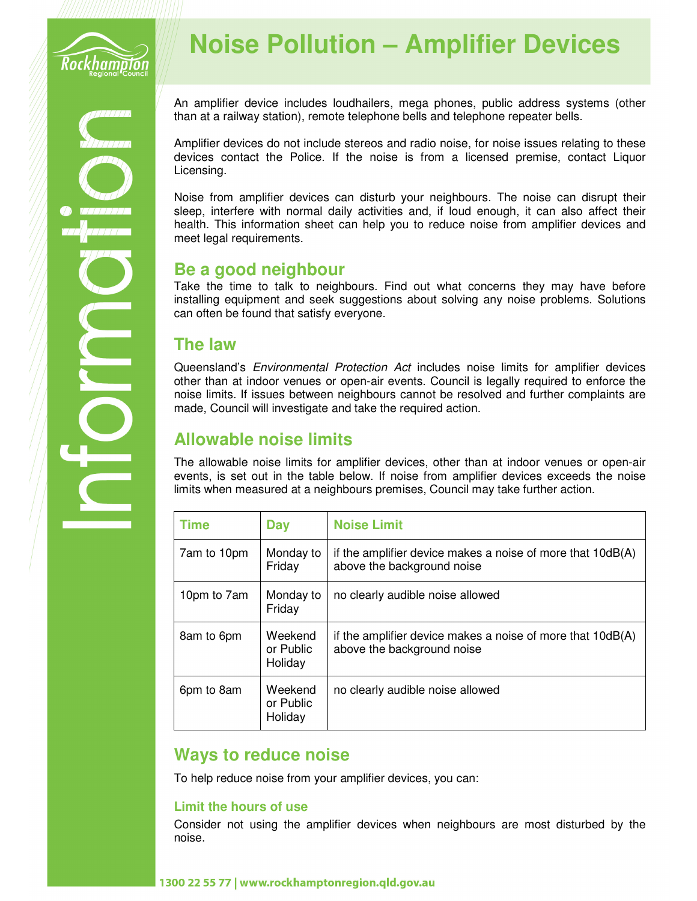

# **Noise Pollution – Amplifier Devices**

An amplifier device includes loudhailers, mega phones, public address systems (other than at a railway station), remote telephone bells and telephone repeater bells.

Amplifier devices do not include stereos and radio noise, for noise issues relating to these devices contact the Police. If the noise is from a licensed premise, contact Liquor Licensing.

Noise from amplifier devices can disturb your neighbours. The noise can disrupt their sleep, interfere with normal daily activities and, if loud enough, it can also affect their health. This information sheet can help you to reduce noise from amplifier devices and meet legal requirements.

## **Be a good neighbour**

Take the time to talk to neighbours. Find out what concerns they may have before installing equipment and seek suggestions about solving any noise problems. Solutions can often be found that satisfy everyone.

## **The law**

Queensland's *Environmental Protection Act* includes noise limits for amplifier devices other than at indoor venues or open-air events. Council is legally required to enforce the noise limits. If issues between neighbours cannot be resolved and further complaints are made, Council will investigate and take the required action.

# **Allowable noise limits**

The allowable noise limits for amplifier devices, other than at indoor venues or open-air events, is set out in the table below. If noise from amplifier devices exceeds the noise limits when measured at a neighbours premises, Council may take further action.

| <b>Time</b> | Day                             | <b>Noise Limit</b>                                                                         |
|-------------|---------------------------------|--------------------------------------------------------------------------------------------|
| 7am to 10pm | Monday to<br>Friday             | if the amplifier device makes a noise of more that $10dB(A)$<br>above the background noise |
| 10pm to 7am | Monday to<br>Friday             | no clearly audible noise allowed                                                           |
| 8am to 6pm  | Weekend<br>or Public<br>Holiday | if the amplifier device makes a noise of more that 10dB(A)<br>above the background noise   |
| 6pm to 8am  | Weekend<br>or Public<br>Holiday | no clearly audible noise allowed                                                           |

## **Ways to reduce noise**

To help reduce noise from your amplifier devices, you can:

## **Limit the hours of use**

Consider not using the amplifier devices when neighbours are most disturbed by the noise.